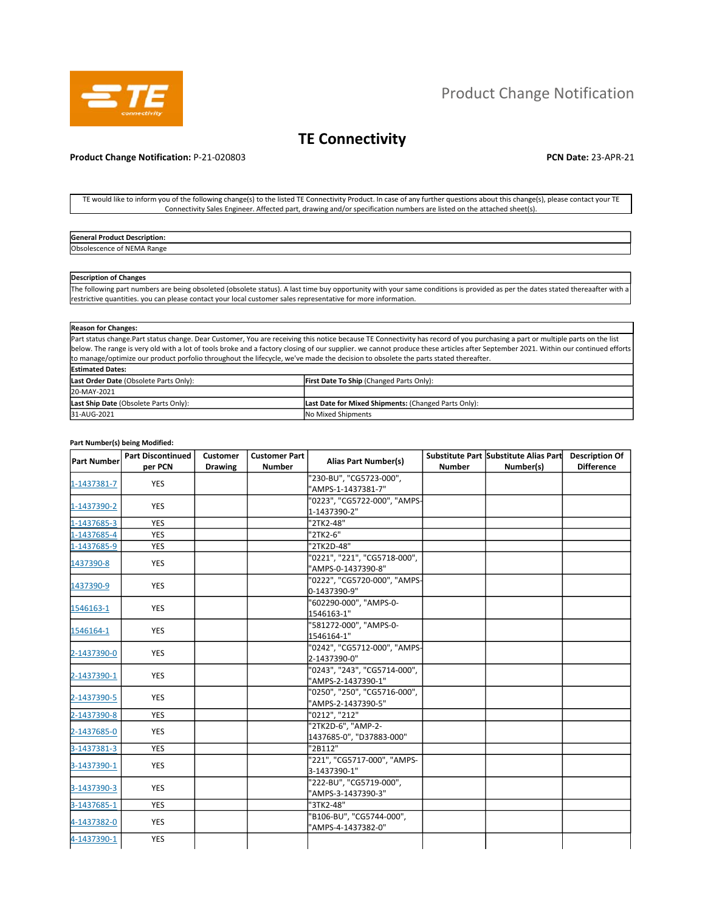

# Product Change Notification

## **TE Connectivity**

#### **Product Change Notification:** P-21-020803 **PCN Date:** 23-APR-21

TE would like to inform you of the following change(s) to the listed TE Connectivity Product. In case of any further questions about this change(s), please contact your TE Connectivity Sales Engineer. Affected part, drawing and/or specification numbers are listed on the attached sheet(s).

| General<br>rodur<br>тоиоп.        |  |
|-----------------------------------|--|
| Obso.<br>-MA<br><b>Range</b><br>. |  |
|                                   |  |

### **Description of Changes**

The following part numbers are being obsoleted (obsolete status). A last time buy opportunity with your same conditions is provided as per the dates stated thereaafter with a restrictive quantities. you can please contact your local customer sales representative for more information.

| <b>Reason for Changes:</b>             |                                                                                                                                                                                                                                                                                                                                                                                                                                                                                                          |
|----------------------------------------|----------------------------------------------------------------------------------------------------------------------------------------------------------------------------------------------------------------------------------------------------------------------------------------------------------------------------------------------------------------------------------------------------------------------------------------------------------------------------------------------------------|
|                                        | Part status change.Part status change. Dear Customer, You are receiving this notice because TE Connectivity has record of you purchasing a part or multiple parts on the list<br>below. The range is very old with a lot of tools broke and a factory closing of our supplier, we cannot produce these articles after September 2021. Within our continued efforts<br>to manage/optimize our product porfolio throughout the lifecycle, we've made the decision to obsolete the parts stated thereafter. |
| <b>Estimated Dates:</b>                |                                                                                                                                                                                                                                                                                                                                                                                                                                                                                                          |
| Last Order Date (Obsolete Parts Only): | <b>First Date To Ship (Changed Parts Only):</b>                                                                                                                                                                                                                                                                                                                                                                                                                                                          |
| 20-MAY-2021                            |                                                                                                                                                                                                                                                                                                                                                                                                                                                                                                          |
| Last Ship Date (Obsolete Parts Only):  | Last Date for Mixed Shipments: (Changed Parts Only):                                                                                                                                                                                                                                                                                                                                                                                                                                                     |
| 31-AUG-2021                            | No Mixed Shipments                                                                                                                                                                                                                                                                                                                                                                                                                                                                                       |

#### **Part Number(s) being Modified:**

| <b>Part Number</b> | <b>Part Discontinued</b> | Customer       | <b>Customer Part</b> | <b>Alias Part Number(s)</b>  |               | Substitute Part Substitute Alias Part | <b>Description Of</b> |
|--------------------|--------------------------|----------------|----------------------|------------------------------|---------------|---------------------------------------|-----------------------|
|                    | per PCN                  | <b>Drawing</b> | <b>Number</b>        |                              | <b>Number</b> | Number(s)                             | <b>Difference</b>     |
| 1-1437381-7        | <b>YES</b>               |                |                      | "230-BU", "CG5723-000",      |               |                                       |                       |
|                    |                          |                |                      | "AMPS-1-1437381-7"           |               |                                       |                       |
| 1-1437390-2        | <b>YES</b>               |                |                      | "0223", "CG5722-000", "AMPS- |               |                                       |                       |
|                    |                          |                |                      | 1-1437390-2"                 |               |                                       |                       |
| 1-1437685-3        | <b>YES</b>               |                |                      | "2TK2-48"                    |               |                                       |                       |
| 1-1437685-4        | <b>YES</b>               |                |                      | "2TK2-6"                     |               |                                       |                       |
| 1-1437685-9        | <b>YES</b>               |                |                      | "2TK2D-48"                   |               |                                       |                       |
| 1437390-8          | <b>YES</b>               |                |                      | "0221", "221", "CG5718-000", |               |                                       |                       |
|                    |                          |                |                      | "AMPS-0-1437390-8"           |               |                                       |                       |
|                    | <b>YES</b>               |                |                      | "0222", "CG5720-000", "AMPS- |               |                                       |                       |
| 1437390-9          |                          |                |                      | 0-1437390-9"                 |               |                                       |                       |
|                    |                          |                |                      | "602290-000", "AMPS-0-       |               |                                       |                       |
| 1546163-1          | <b>YES</b>               |                |                      | 1546163-1"                   |               |                                       |                       |
|                    |                          |                |                      | "581272-000", "AMPS-0-       |               |                                       |                       |
| 1546164-1          | <b>YES</b>               |                |                      | 1546164-1"                   |               |                                       |                       |
|                    |                          |                |                      | "0242", "CG5712-000", "AMPS- |               |                                       |                       |
| 2-1437390-0        | <b>YES</b>               |                |                      | 2-1437390-0"                 |               |                                       |                       |
|                    |                          |                |                      | "0243", "243", "CG5714-000", |               |                                       |                       |
| 2-1437390-1        | <b>YES</b>               |                |                      | "AMPS-2-1437390-1"           |               |                                       |                       |
|                    |                          |                |                      | "0250", "250", "CG5716-000", |               |                                       |                       |
| 2-1437390-5        | <b>YES</b>               |                |                      | "AMPS-2-1437390-5"           |               |                                       |                       |
| 2-1437390-8        | <b>YES</b>               |                |                      | "0212", "212"                |               |                                       |                       |
|                    |                          |                |                      | "2TK2D-6", "AMP-2-           |               |                                       |                       |
| 2-1437685-0        | <b>YES</b>               |                |                      | 1437685-0", "D37883-000"     |               |                                       |                       |
| 3-1437381-3        | <b>YES</b>               |                |                      | "2B112"                      |               |                                       |                       |
|                    |                          |                |                      | "221", "CG5717-000", "AMPS-  |               |                                       |                       |
| 3-1437390-1        | <b>YES</b>               |                |                      | 3-1437390-1"                 |               |                                       |                       |
|                    |                          |                |                      | "222-BU", "CG5719-000",      |               |                                       |                       |
| 3-1437390-3        | <b>YES</b>               |                |                      | "AMPS-3-1437390-3"           |               |                                       |                       |
| 3-1437685-1        | <b>YES</b>               |                |                      | "3TK2-48"                    |               |                                       |                       |
|                    |                          |                |                      | "B106-BU", "CG5744-000",     |               |                                       |                       |
| 4-1437382-0        | <b>YES</b>               |                |                      | "AMPS-4-1437382-0"           |               |                                       |                       |
| 4-1437390-1        | <b>YES</b>               |                |                      |                              |               |                                       |                       |
|                    |                          |                |                      |                              |               |                                       |                       |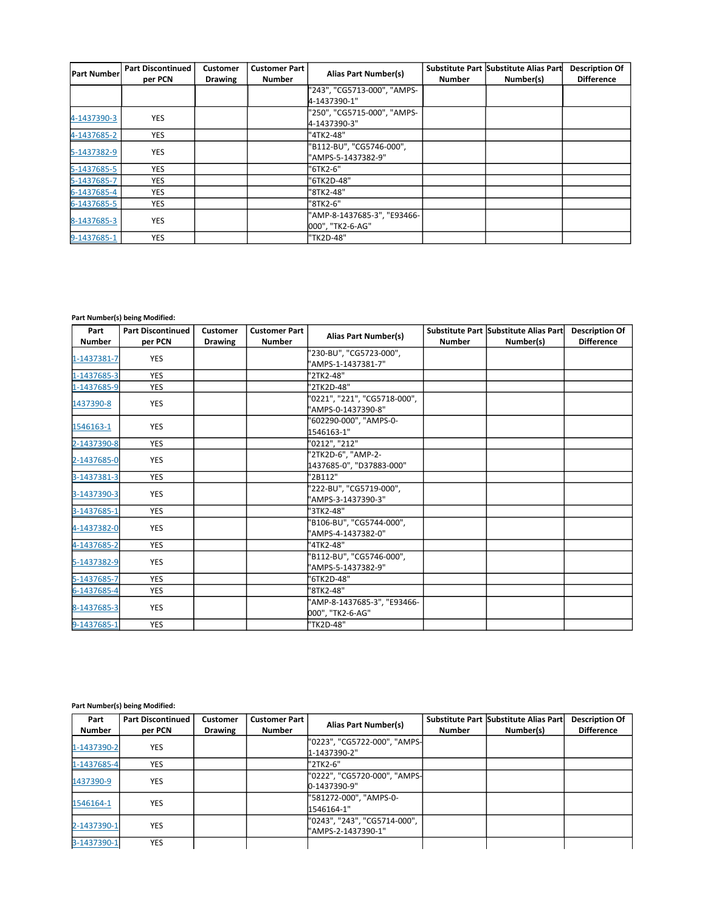| <b>Part Number</b> | <b>Part Discontinued</b><br>per PCN | Customer<br><b>Drawing</b> | <b>Customer Part</b><br><b>Number</b> | <b>Alias Part Number(s)</b>                     | <b>Number</b> | Substitute Part Substitute Alias Part<br>Number(s) | <b>Description Of</b><br><b>Difference</b> |
|--------------------|-------------------------------------|----------------------------|---------------------------------------|-------------------------------------------------|---------------|----------------------------------------------------|--------------------------------------------|
|                    |                                     |                            |                                       | "243", "CG5713-000", "AMPS-<br>4-1437390-1"     |               |                                                    |                                            |
| 4-1437390-3        | <b>YES</b>                          |                            |                                       | "250", "CG5715-000", "AMPS-<br>4-1437390-3"     |               |                                                    |                                            |
| 4-1437685-2        | <b>YES</b>                          |                            |                                       | "4TK2-48"                                       |               |                                                    |                                            |
| 5-1437382-9        | YES                                 |                            |                                       | "B112-BU", "CG5746-000",<br>"AMPS-5-1437382-9"  |               |                                                    |                                            |
| 5-1437685-5        | <b>YES</b>                          |                            |                                       | "6TK2-6"                                        |               |                                                    |                                            |
| 5-1437685-7        | <b>YES</b>                          |                            |                                       | "6TK2D-48"                                      |               |                                                    |                                            |
| 6-1437685-4        | <b>YES</b>                          |                            |                                       | "8TK2-48"                                       |               |                                                    |                                            |
| 6-1437685-5        | YES.                                |                            |                                       | "8TK2-6"                                        |               |                                                    |                                            |
| 8-1437685-3        | <b>YES</b>                          |                            |                                       | "AMP-8-1437685-3", "E93466-<br>000", "TK2-6-AG" |               |                                                    |                                            |
| 9-1437685-1        | <b>YES</b>                          |                            |                                       | "TK2D-48"                                       |               |                                                    |                                            |

### **Part Number(s) being Modified:**

| Part          | <b>Part Discontinued</b> | <b>Customer</b> | <b>Customer Part</b> | <b>Alias Part Number(s)</b>  |               | Substitute Part Substitute Alias Part | <b>Description Of</b> |
|---------------|--------------------------|-----------------|----------------------|------------------------------|---------------|---------------------------------------|-----------------------|
| <b>Number</b> | per PCN                  | <b>Drawing</b>  | <b>Number</b>        |                              | <b>Number</b> | Number(s)                             | <b>Difference</b>     |
| 1-1437381-7   | <b>YES</b>               |                 |                      | '230-BU", "CG5723-000",      |               |                                       |                       |
|               |                          |                 |                      | "AMPS-1-1437381-7"           |               |                                       |                       |
| 1-1437685-3   | <b>YES</b>               |                 |                      | '2TK2-48"                    |               |                                       |                       |
| 1-1437685-9   | <b>YES</b>               |                 |                      | "2TK2D-48"                   |               |                                       |                       |
| 1437390-8     | <b>YES</b>               |                 |                      | "0221", "221", "CG5718-000", |               |                                       |                       |
|               |                          |                 |                      | "AMPS-0-1437390-8"           |               |                                       |                       |
| 1546163-1     | <b>YES</b>               |                 |                      | '602290-000", "AMPS-0-       |               |                                       |                       |
|               |                          |                 |                      | 1546163-1"                   |               |                                       |                       |
| 2-1437390-8   | <b>YES</b>               |                 |                      | "0212", "212"                |               |                                       |                       |
| 2-1437685-0   | <b>YES</b>               |                 |                      | "2TK2D-6", "AMP-2-           |               |                                       |                       |
|               |                          |                 |                      | 1437685-0", "D37883-000"     |               |                                       |                       |
| 3-1437381-3   | <b>YES</b>               |                 |                      | "2B112"                      |               |                                       |                       |
| 3-1437390-3   | <b>YES</b>               |                 |                      | '222-BU", "CG5719-000",      |               |                                       |                       |
|               |                          |                 |                      | "AMPS-3-1437390-3"           |               |                                       |                       |
| 3-1437685-1   | <b>YES</b>               |                 |                      | "3TK2-48"                    |               |                                       |                       |
|               |                          |                 |                      | 'B106-BU", "CG5744-000",     |               |                                       |                       |
| 4-1437382-0   | <b>YES</b>               |                 |                      | "AMPS-4-1437382-0"           |               |                                       |                       |
| 4-1437685-2   | <b>YES</b>               |                 |                      | "4TK2-48"                    |               |                                       |                       |
|               | <b>YES</b>               |                 |                      | 'B112-BU", "CG5746-000",     |               |                                       |                       |
| 5-1437382-9   |                          |                 |                      | "AMPS-5-1437382-9"           |               |                                       |                       |
| 5-1437685-7   | <b>YES</b>               |                 |                      | '6TK2D-48"                   |               |                                       |                       |
| 6-1437685-4   | <b>YES</b>               |                 |                      | "8TK2-48"                    |               |                                       |                       |
|               |                          |                 |                      | "AMP-8-1437685-3", "E93466-  |               |                                       |                       |
| 8-1437685-3   | <b>YES</b>               |                 |                      | 000", "TK2-6-AG"             |               |                                       |                       |
| 9-1437685-1   | <b>YES</b>               |                 |                      | "TK2D-48"                    |               |                                       |                       |

### **Part Number(s) being Modified:**

| Part<br><b>Number</b> | <b>Part Discontinued</b><br>per PCN | <b>Customer</b><br><b>Drawing</b> | <b>Customer Part</b><br><b>Number</b> | Alias Part Number(s)                               | <b>Number</b> | Substitute Part Substitute Alias Part<br>Number(s) | <b>Description Of</b><br><b>Difference</b> |
|-----------------------|-------------------------------------|-----------------------------------|---------------------------------------|----------------------------------------------------|---------------|----------------------------------------------------|--------------------------------------------|
| 1-1437390-2           | <b>YES</b>                          |                                   |                                       | "0223", "CG5722-000", "AMPS-<br>1-1437390-2"       |               |                                                    |                                            |
| 1-1437685-4           | <b>YES</b>                          |                                   |                                       | "2TK2-6"                                           |               |                                                    |                                            |
| 1437390-9             | <b>YES</b>                          |                                   |                                       | "0222", "CG5720-000", "AMPS-<br>0-1437390-9"       |               |                                                    |                                            |
| 1546164-1             | YES.                                |                                   |                                       | "581272-000", "AMPS-0-<br>1546164-1"               |               |                                                    |                                            |
| 2-1437390-1           | YES.                                |                                   |                                       | "0243", "243", "CG5714-000",<br>"AMPS-2-1437390-1" |               |                                                    |                                            |
| 3-1437390-1           | <b>YES</b>                          |                                   |                                       |                                                    |               |                                                    |                                            |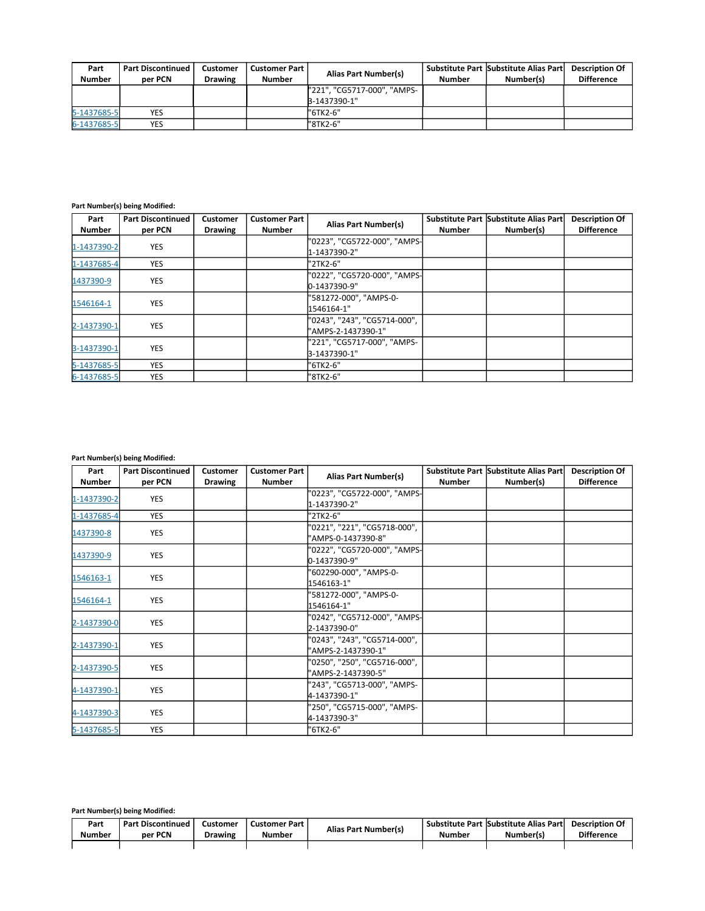| Part<br><b>Number</b> | <b>Part Discontinued</b><br>per PCN | <b>Customer</b><br><b>Drawing</b> | <b>Customer Part I</b><br><b>Number</b> | Alias Part Number(s)        | Number | Substitute Part Substitute Alias Part<br>Number(s) | <b>Description Of</b><br><b>Difference</b> |
|-----------------------|-------------------------------------|-----------------------------------|-----------------------------------------|-----------------------------|--------|----------------------------------------------------|--------------------------------------------|
|                       |                                     |                                   |                                         | "221", "CG5717-000", "AMPS- |        |                                                    |                                            |
|                       |                                     |                                   |                                         | B-1437390-1"                |        |                                                    |                                            |
| 5-1437685-5           | YES                                 |                                   |                                         | "6TK2-6"                    |        |                                                    |                                            |
| 6-1437685-5           | YES                                 |                                   |                                         | "8TK2-6"                    |        |                                                    |                                            |

### **Part Number(s) being Modified:**

| Part          | <b>Part Discontinued</b> | Customer       | <b>Customer Part</b> | <b>Alias Part Number(s)</b>                        |        | Substitute Part Substitute Alias Part | <b>Description Of</b> |
|---------------|--------------------------|----------------|----------------------|----------------------------------------------------|--------|---------------------------------------|-----------------------|
| <b>Number</b> | per PCN                  | <b>Drawing</b> | <b>Number</b>        |                                                    | Number | Number(s)                             | <b>Difference</b>     |
| 1-1437390-2   | <b>YES</b>               |                |                      | "0223", "CG5722-000", "AMPS-<br>1-1437390-2"       |        |                                       |                       |
| 1-1437685-4   | <b>YES</b>               |                |                      | "2TK2-6"                                           |        |                                       |                       |
| 1437390-9     | <b>YES</b>               |                |                      | "0222", "CG5720-000", "AMPS-<br>0-1437390-9"       |        |                                       |                       |
| 1546164-1     | <b>YES</b>               |                |                      | "581272-000", "AMPS-0-<br>1546164-1"               |        |                                       |                       |
| 2-1437390-1   | <b>YES</b>               |                |                      | "0243", "243", "CG5714-000",<br>"AMPS-2-1437390-1" |        |                                       |                       |
| 3-1437390-1   | <b>YES</b>               |                |                      | "221", "CG5717-000", "AMPS-<br>3-1437390-1"        |        |                                       |                       |
| 5-1437685-5   | <b>YES</b>               |                |                      | "6TK2-6"                                           |        |                                       |                       |
| 6-1437685-5   | <b>YES</b>               |                |                      | "8TK2-6"                                           |        |                                       |                       |

## **Part Number(s) being Modified:**

| Part          | <b>Part Discontinued</b> | <b>Customer</b> | <b>Customer Part</b> | <b>Alias Part Number(s)</b>  |               | Substitute Part Substitute Alias Part | <b>Description Of</b> |
|---------------|--------------------------|-----------------|----------------------|------------------------------|---------------|---------------------------------------|-----------------------|
| <b>Number</b> | per PCN                  | <b>Drawing</b>  | Number               |                              | <b>Number</b> | Number(s)                             | <b>Difference</b>     |
| 1-1437390-2   | <b>YES</b>               |                 |                      | "0223", "CG5722-000", "AMPS- |               |                                       |                       |
|               |                          |                 |                      | 1-1437390-2"                 |               |                                       |                       |
| 1-1437685-4   | <b>YES</b>               |                 |                      | "2TK2-6"                     |               |                                       |                       |
| 1437390-8     | <b>YES</b>               |                 |                      | "0221", "221", "CG5718-000", |               |                                       |                       |
|               |                          |                 |                      | "AMPS-0-1437390-8"           |               |                                       |                       |
| 1437390-9     | <b>YES</b>               |                 |                      | "0222", "CG5720-000", "AMPS- |               |                                       |                       |
|               |                          |                 |                      | 0-1437390-9"                 |               |                                       |                       |
| 1546163-1     | <b>YES</b>               |                 |                      | "602290-000", "AMPS-0-       |               |                                       |                       |
|               |                          |                 |                      | 1546163-1"                   |               |                                       |                       |
| 1546164-1     | <b>YES</b>               |                 |                      | "581272-000", "AMPS-0-       |               |                                       |                       |
|               |                          |                 |                      | 1546164-1"                   |               |                                       |                       |
| 2-1437390-0   | <b>YES</b>               |                 |                      | "0242", "CG5712-000", "AMPS- |               |                                       |                       |
|               |                          |                 |                      | 2-1437390-0"                 |               |                                       |                       |
|               | <b>YES</b>               |                 |                      | "0243", "243", "CG5714-000", |               |                                       |                       |
| 2-1437390-1   |                          |                 |                      | "AMPS-2-1437390-1"           |               |                                       |                       |
|               | YES                      |                 |                      | "0250", "250", "CG5716-000", |               |                                       |                       |
| 2-1437390-5   |                          |                 |                      | "AMPS-2-1437390-5"           |               |                                       |                       |
|               | YES                      |                 |                      | "243", "CG5713-000", "AMPS-  |               |                                       |                       |
| 4-1437390-1   |                          |                 |                      | 4-1437390-1"                 |               |                                       |                       |
|               |                          |                 |                      | "250", "CG5715-000", "AMPS-  |               |                                       |                       |
| 4-1437390-3   | <b>YES</b>               |                 |                      | 4-1437390-3"                 |               |                                       |                       |
| 5-1437685-5   | <b>YES</b>               |                 |                      | "6TK2-6"                     |               |                                       |                       |

### **Part Number(s) being Modified:**

| Part   | <b>Part Discontinued</b> | Customer       | Customer Part | <b>Alias Part Number(s)</b> |        | Substitute Part Substitute Alias Part | <b>Description Of</b> |
|--------|--------------------------|----------------|---------------|-----------------------------|--------|---------------------------------------|-----------------------|
| Number | per PCN                  | <b>Drawing</b> | Number        |                             | Number | Number(s)                             | <b>Difference</b>     |
|        |                          |                |               |                             |        |                                       |                       |